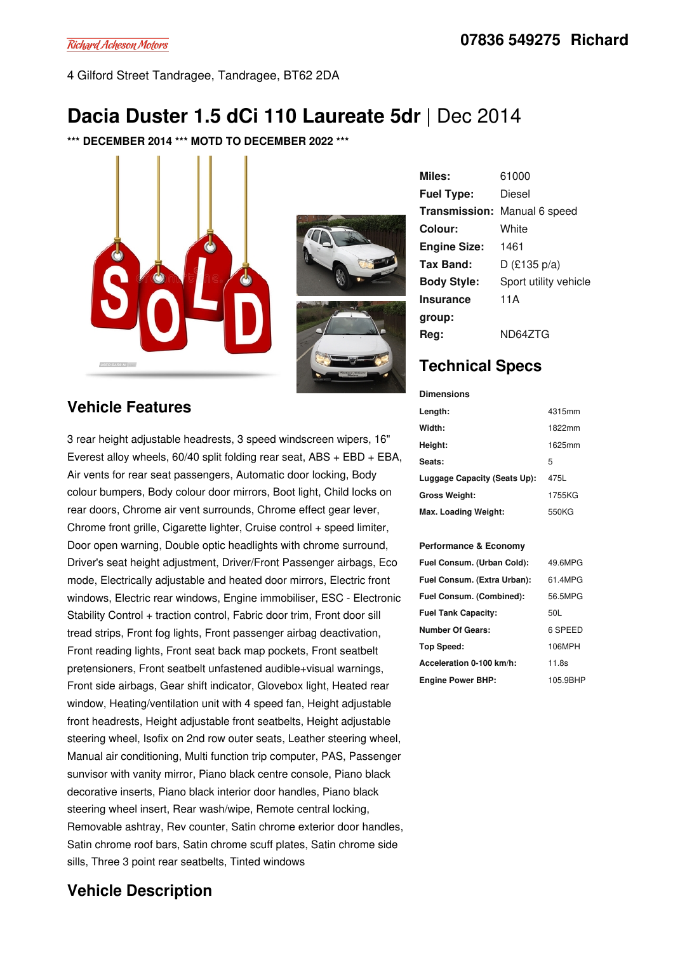4 Gilford Street Tandragee, Tandragee, BT62 2DA

# **Dacia Duster 1.5 dCi 110 Laureate 5dr** |Dec 2014

**\*\*\* DECEMBER 2014 \*\*\* MOTD TO DECEMBER 2022 \*\*\***





**Miles:** 61000 **Fuel Type:** Diesel **Transmission:** Manual 6 speed **Colour:** White **Engine Size:** 1461 **Tax Band:** D (£135 p/a) **Body Style:** Sport utility vehicle **Insurance group:** 11A **Reg:** ND64ZTG

## **Technical Specs**

| <b>Dimensions</b>            |        |
|------------------------------|--------|
| Length:                      | 4315mm |
| Width:                       | 1822mm |
| Height:                      | 1625mm |
| Seats:                       | 5      |
| Luggage Capacity (Seats Up): | 475L   |
| Gross Weight:                | 1755KG |
| Max. Loading Weight:         | 550KG  |

#### **Performance & Economy**

| Fuel Consum. (Urban Cold):  | 49.6MPG  |
|-----------------------------|----------|
| Fuel Consum. (Extra Urban): | 61.4MPG  |
| Fuel Consum. (Combined):    | 56.5MPG  |
| <b>Fuel Tank Capacity:</b>  | 50L      |
| <b>Number Of Gears:</b>     | 6 SPEED  |
| Top Speed:                  | 106MPH   |
| Acceleration 0-100 km/h:    | 11.8s    |
| <b>Engine Power BHP:</b>    | 105.9BHP |

### **Vehicle Features**

3 rear height adjustable headrests, 3 speed windscreen wipers, 16" Everest alloy wheels,  $60/40$  split folding rear seat, ABS + EBD + EBA, Air vents for rear seat passengers, Automatic door locking, Body colour bumpers, Body colour door mirrors, Boot light, Child locks on rear doors, Chrome air vent surrounds, Chrome effect gear lever, Chrome front grille, Cigarette lighter, Cruise control + speed limiter, Door open warning, Double optic headlights with chrome surround, Driver's seat height adjustment, Driver/Front Passenger airbags, Eco mode, Electrically adjustable and heated door mirrors, Electric front windows, Electric rear windows, Engine immobiliser, ESC - Electronic Stability Control + traction control, Fabric door trim, Front door sill tread strips, Front fog lights, Front passenger airbag deactivation, Front reading lights, Front seat back map pockets, Front seatbelt pretensioners, Front seatbelt unfastened audible+visual warnings, Front side airbags, Gear shift indicator, Glovebox light, Heated rear window, Heating/ventilation unit with 4 speed fan, Height adjustable front headrests, Height adjustable front seatbelts, Height adjustable steering wheel, Isofix on 2nd row outer seats, Leather steering wheel, Manual air conditioning, Multi function trip computer, PAS, Passenger sunvisor with vanity mirror, Piano black centre console, Piano black decorative inserts, Piano black interior door handles, Piano black steering wheel insert, Rear wash/wipe, Remote central locking, Removable ashtray, Rev counter, Satin chrome exterior door handles, Satin chrome roof bars, Satin chrome scuff plates, Satin chrome side sills, Three 3 point rear seatbelts, Tinted windows

### **Vehicle Description**